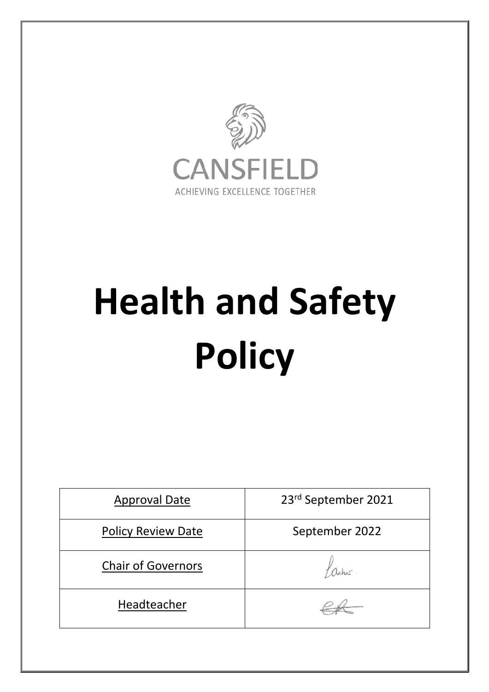

# **Health and Safety Policy**

| <b>Approval Date</b>      | 23rd September 2021 |
|---------------------------|---------------------|
| <b>Policy Review Date</b> | September 2022      |
| <b>Chair of Governors</b> |                     |
| Headteacher               |                     |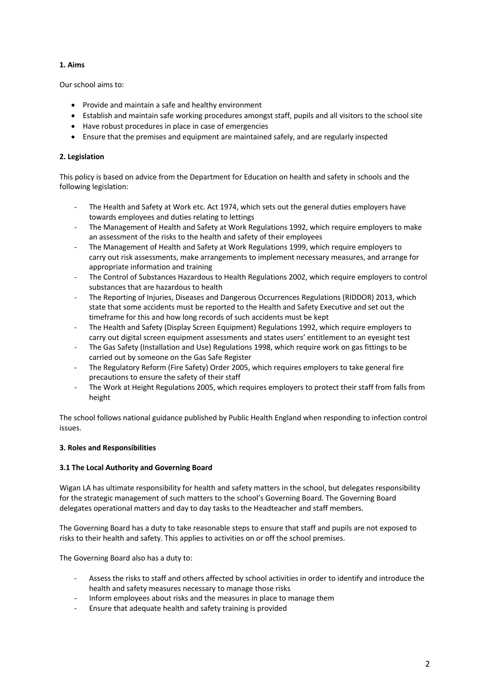## **1. Aims**

Our school aims to:

- Provide and maintain a safe and healthy environment
- Establish and maintain safe working procedures amongst staff, pupils and all visitors to the school site
- Have robust procedures in place in case of emergencies
- Ensure that the premises and equipment are maintained safely, and are regularly inspected

### **2. Legislation**

This policy is based on advice from the Department for Education on health and safety in schools and the following legislation:

- The Health and Safety at Work etc. Act 1974, which sets out the general duties employers have towards employees and duties relating to lettings
- The Management of Health and Safety at Work Regulations 1992, which require employers to make an assessment of the risks to the health and safety of their employees
- The Management of Health and Safety at Work Regulations 1999, which require employers to carry out risk assessments, make arrangements to implement necessary measures, and arrange for appropriate information and training
- The Control of Substances Hazardous to Health Regulations 2002, which require employers to control substances that are hazardous to health
- The Reporting of Injuries, Diseases and Dangerous Occurrences Regulations (RIDDOR) 2013, which state that some accidents must be reported to the Health and Safety Executive and set out the timeframe for this and how long records of such accidents must be kept
- The Health and Safety (Display Screen Equipment) Regulations 1992, which require employers to carry out digital screen equipment assessments and states users' entitlement to an eyesight test
- The Gas Safety (Installation and Use) Regulations 1998, which require work on gas fittings to be carried out by someone on the Gas Safe Register
- The Regulatory Reform (Fire Safety) Order 2005, which requires employers to take general fire precautions to ensure the safety of their staff
- The Work at Height Regulations 2005, which requires employers to protect their staff from falls from height

The school follows national guidance published by Public Health England when responding to infection control issues.

## **3. Roles and Responsibilities**

#### **3.1 The Local Authority and Governing Board**

Wigan LA has ultimate responsibility for health and safety matters in the school, but delegates responsibility for the strategic management of such matters to the school's Governing Board. The Governing Board delegates operational matters and day to day tasks to the Headteacher and staff members.

The Governing Board has a duty to take reasonable steps to ensure that staff and pupils are not exposed to risks to their health and safety. This applies to activities on or off the school premises.

The Governing Board also has a duty to:

- Assess the risks to staff and others affected by school activities in order to identify and introduce the health and safety measures necessary to manage those risks
- Inform employees about risks and the measures in place to manage them
- Ensure that adequate health and safety training is provided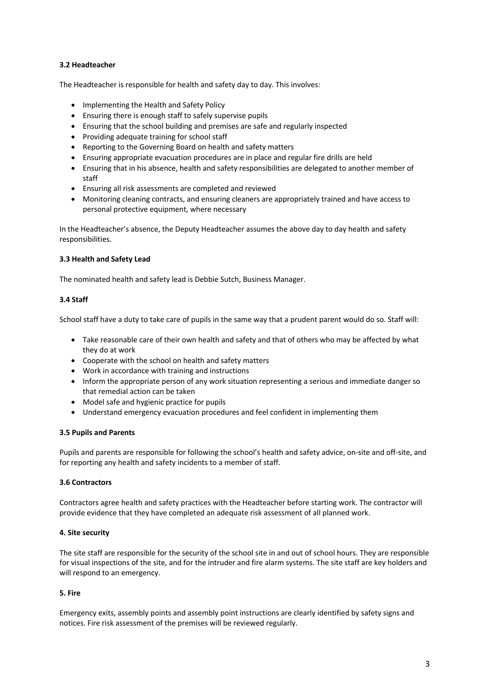### **3.2 Headteacher**

The Headteacher is responsible for health and safety day to day. This involves:

- Implementing the Health and Safety Policy
- Ensuring there is enough staff to safely supervise pupils
- Ensuring that the school building and premises are safe and regularly inspected
- Providing adequate training for school staff
- Reporting to the Governing Board on health and safety matters
- Ensuring appropriate evacuation procedures are in place and regular fire drills are held
- Ensuring that in his absence, health and safety responsibilities are delegated to another member of staff
- Ensuring all risk assessments are completed and reviewed
- Monitoring cleaning contracts, and ensuring cleaners are appropriately trained and have access to personal protective equipment, where necessary

In the Headteacher's absence, the Deputy Headteacher assumes the above day to day health and safety responsibilities.

#### **3.3 Health and Safety Lead**

The nominated health and safety lead is Debbie Sutch, Business Manager.

#### **3.4 Staff**

School staff have a duty to take care of pupils in the same way that a prudent parent would do so. Staff will:

- Take reasonable care of their own health and safety and that of others who may be affected by what they do at work
- Cooperate with the school on health and safety matters
- Work in accordance with training and instructions
- Inform the appropriate person of any work situation representing a serious and immediate danger so that remedial action can be taken
- Model safe and hygienic practice for pupils
- Understand emergency evacuation procedures and feel confident in implementing them

#### **3.5 Pupils and Parents**

Pupils and parents are responsible for following the school's health and safety advice, on-site and off-site, and for reporting any health and safety incidents to a member of staff.

## **3.6 Contractors**

Contractors agree health and safety practices with the Headteacher before starting work. The contractor will provide evidence that they have completed an adequate risk assessment of all planned work.

#### **4. Site security**

The site staff are responsible for the security of the school site in and out of school hours. They are responsible for visual inspections of the site, and for the intruder and fire alarm systems. The site staff are key holders and will respond to an emergency.

#### **5. Fire**

Emergency exits, assembly points and assembly point instructions are clearly identified by safety signs and notices. Fire risk assessment of the premises will be reviewed regularly.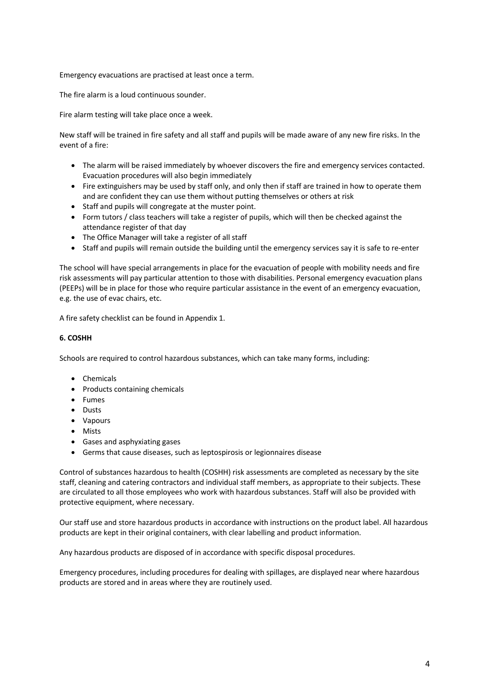Emergency evacuations are practised at least once a term.

The fire alarm is a loud continuous sounder.

Fire alarm testing will take place once a week.

New staff will be trained in fire safety and all staff and pupils will be made aware of any new fire risks. In the event of a fire:

- The alarm will be raised immediately by whoever discovers the fire and emergency services contacted. Evacuation procedures will also begin immediately
- Fire extinguishers may be used by staff only, and only then if staff are trained in how to operate them and are confident they can use them without putting themselves or others at risk
- Staff and pupils will congregate at the muster point.
- Form tutors / class teachers will take a register of pupils, which will then be checked against the attendance register of that day
- The Office Manager will take a register of all staff
- Staff and pupils will remain outside the building until the emergency services say it is safe to re-enter

The school will have special arrangements in place for the evacuation of people with mobility needs and fire risk assessments will pay particular attention to those with disabilities. Personal emergency evacuation plans (PEEPs) will be in place for those who require particular assistance in the event of an emergency evacuation, e.g. the use of evac chairs, etc.

A fire safety checklist can be found in Appendix 1.

## **6. COSHH**

Schools are required to control hazardous substances, which can take many forms, including:

- Chemicals
- Products containing chemicals
- Fumes
- Dusts
- Vapours
- Mists
- Gases and asphyxiating gases
- Germs that cause diseases, such as leptospirosis or legionnaires disease

Control of substances hazardous to health (COSHH) risk assessments are completed as necessary by the site staff, cleaning and catering contractors and individual staff members, as appropriate to their subjects. These are circulated to all those employees who work with hazardous substances. Staff will also be provided with protective equipment, where necessary.

Our staff use and store hazardous products in accordance with instructions on the product label. All hazardous products are kept in their original containers, with clear labelling and product information.

Any hazardous products are disposed of in accordance with specific disposal procedures.

Emergency procedures, including procedures for dealing with spillages, are displayed near where hazardous products are stored and in areas where they are routinely used.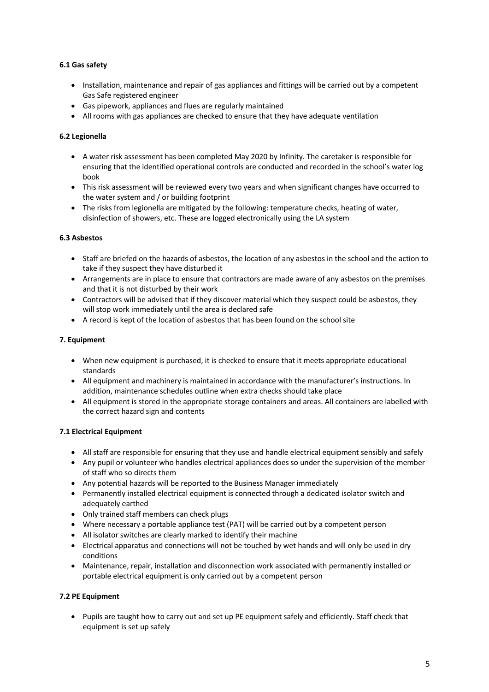## **6.1 Gas safety**

- Installation, maintenance and repair of gas appliances and fittings will be carried out by a competent Gas Safe registered engineer
- Gas pipework, appliances and flues are regularly maintained
- All rooms with gas appliances are checked to ensure that they have adequate ventilation

## **6.2 Legionella**

- A water risk assessment has been completed May 2020 by Infinity. The caretaker is responsible for ensuring that the identified operational controls are conducted and recorded in the school's water log book
- This risk assessment will be reviewed every two years and when significant changes have occurred to the water system and / or building footprint
- The risks from legionella are mitigated by the following: temperature checks, heating of water, disinfection of showers, etc. These are logged electronically using the LA system

## **6.3 Asbestos**

- Staff are briefed on the hazards of asbestos, the location of any asbestos in the school and the action to take if they suspect they have disturbed it
- Arrangements are in place to ensure that contractors are made aware of any asbestos on the premises and that it is not disturbed by their work
- Contractors will be advised that if they discover material which they suspect could be asbestos, they will stop work immediately until the area is declared safe
- A record is kept of the location of asbestos that has been found on the school site

#### **7. Equipment**

- When new equipment is purchased, it is checked to ensure that it meets appropriate educational standards
- All equipment and machinery is maintained in accordance with the manufacturer's instructions. In addition, maintenance schedules outline when extra checks should take place
- All equipment is stored in the appropriate storage containers and areas. All containers are labelled with the correct hazard sign and contents

## **7.1 Electrical Equipment**

- All staff are responsible for ensuring that they use and handle electrical equipment sensibly and safely
- Any pupil or volunteer who handles electrical appliances does so under the supervision of the member of staff who so directs them
- Any potential hazards will be reported to the Business Manager immediately
- Permanently installed electrical equipment is connected through a dedicated isolator switch and adequately earthed
- Only trained staff members can check plugs
- Where necessary a portable appliance test (PAT) will be carried out by a competent person
- All isolator switches are clearly marked to identify their machine
- Electrical apparatus and connections will not be touched by wet hands and will only be used in dry conditions
- Maintenance, repair, installation and disconnection work associated with permanently installed or portable electrical equipment is only carried out by a competent person

## **7.2 PE Equipment**

• Pupils are taught how to carry out and set up PE equipment safely and efficiently. Staff check that equipment is set up safely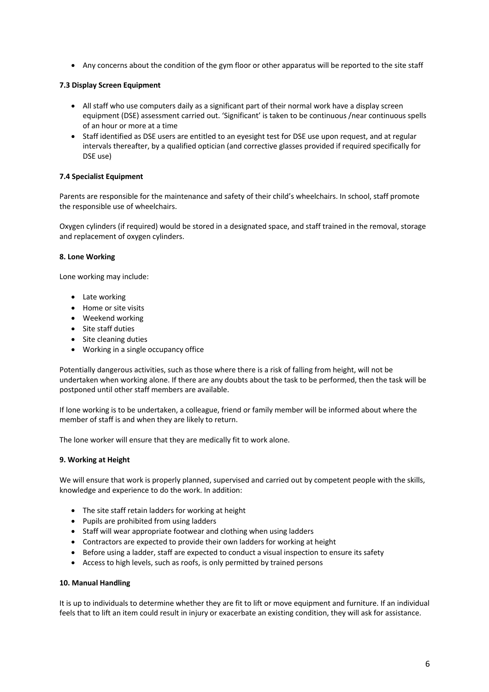• Any concerns about the condition of the gym floor or other apparatus will be reported to the site staff

### **7.3 Display Screen Equipment**

- All staff who use computers daily as a significant part of their normal work have a display screen equipment (DSE) assessment carried out. 'Significant' is taken to be continuous /near continuous spells of an hour or more at a time
- Staff identified as DSE users are entitled to an eyesight test for DSE use upon request, and at regular intervals thereafter, by a qualified optician (and corrective glasses provided if required specifically for DSE use)

#### **7.4 Specialist Equipment**

Parents are responsible for the maintenance and safety of their child's wheelchairs. In school, staff promote the responsible use of wheelchairs.

Oxygen cylinders (if required) would be stored in a designated space, and staff trained in the removal, storage and replacement of oxygen cylinders.

#### **8. Lone Working**

Lone working may include:

- Late working
- Home or site visits
- Weekend working
- Site staff duties
- Site cleaning duties
- Working in a single occupancy office

Potentially dangerous activities, such as those where there is a risk of falling from height, will not be undertaken when working alone. If there are any doubts about the task to be performed, then the task will be postponed until other staff members are available.

If lone working is to be undertaken, a colleague, friend or family member will be informed about where the member of staff is and when they are likely to return.

The lone worker will ensure that they are medically fit to work alone.

## **9. Working at Height**

We will ensure that work is properly planned, supervised and carried out by competent people with the skills, knowledge and experience to do the work. In addition:

- The site staff retain ladders for working at height
- Pupils are prohibited from using ladders
- Staff will wear appropriate footwear and clothing when using ladders
- Contractors are expected to provide their own ladders for working at height
- Before using a ladder, staff are expected to conduct a visual inspection to ensure its safety
- Access to high levels, such as roofs, is only permitted by trained persons

#### **10. Manual Handling**

It is up to individuals to determine whether they are fit to lift or move equipment and furniture. If an individual feels that to lift an item could result in injury or exacerbate an existing condition, they will ask for assistance.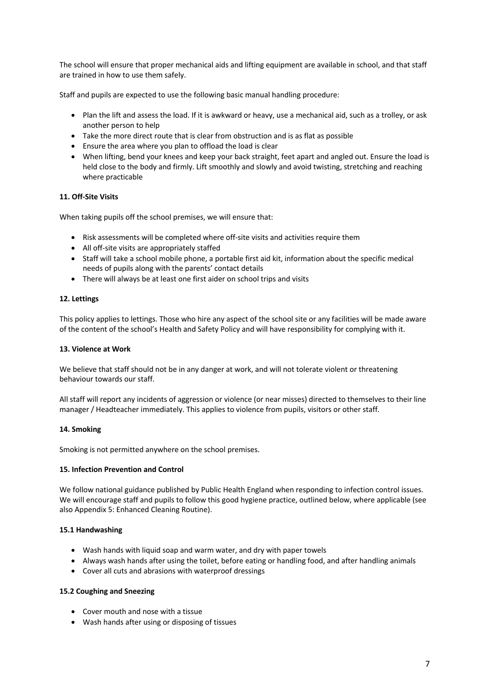The school will ensure that proper mechanical aids and lifting equipment are available in school, and that staff are trained in how to use them safely.

Staff and pupils are expected to use the following basic manual handling procedure:

- Plan the lift and assess the load. If it is awkward or heavy, use a mechanical aid, such as a trolley, or ask another person to help
- Take the more direct route that is clear from obstruction and is as flat as possible
- Ensure the area where you plan to offload the load is clear
- When lifting, bend your knees and keep your back straight, feet apart and angled out. Ensure the load is held close to the body and firmly. Lift smoothly and slowly and avoid twisting, stretching and reaching where practicable

#### **11. Off-Site Visits**

When taking pupils off the school premises, we will ensure that:

- Risk assessments will be completed where off-site visits and activities require them
- All off-site visits are appropriately staffed
- Staff will take a school mobile phone, a portable first aid kit, information about the specific medical needs of pupils along with the parents' contact details
- There will always be at least one first aider on school trips and visits

#### **12. Lettings**

This policy applies to lettings. Those who hire any aspect of the school site or any facilities will be made aware of the content of the school's Health and Safety Policy and will have responsibility for complying with it.

#### **13. Violence at Work**

We believe that staff should not be in any danger at work, and will not tolerate violent or threatening behaviour towards our staff.

All staff will report any incidents of aggression or violence (or near misses) directed to themselves to their line manager / Headteacher immediately. This applies to violence from pupils, visitors or other staff.

#### **14. Smoking**

Smoking is not permitted anywhere on the school premises.

#### **15. Infection Prevention and Control**

We follow national guidance published by Public Health England when responding to infection control issues. We will encourage staff and pupils to follow this good hygiene practice, outlined below, where applicable (see also Appendix 5: Enhanced Cleaning Routine).

#### **15.1 Handwashing**

- Wash hands with liquid soap and warm water, and dry with paper towels
- Always wash hands after using the toilet, before eating or handling food, and after handling animals
- Cover all cuts and abrasions with waterproof dressings

### **15.2 Coughing and Sneezing**

- Cover mouth and nose with a tissue
- Wash hands after using or disposing of tissues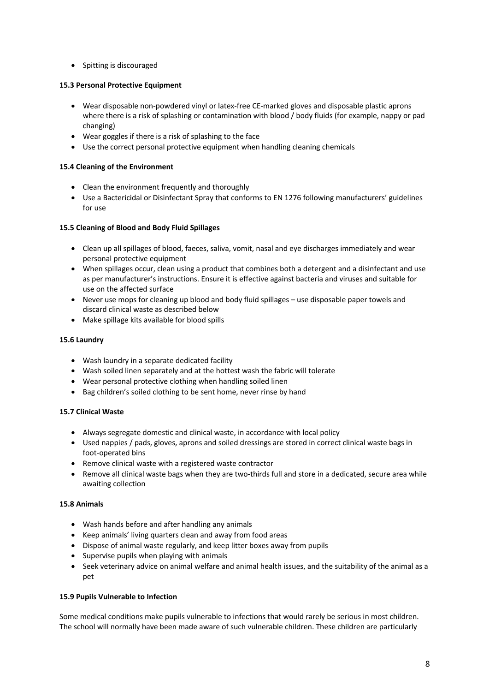• Spitting is discouraged

## **15.3 Personal Protective Equipment**

- Wear disposable non-powdered vinyl or latex-free CE-marked gloves and disposable plastic aprons where there is a risk of splashing or contamination with blood / body fluids (for example, nappy or pad changing)
- Wear goggles if there is a risk of splashing to the face
- Use the correct personal protective equipment when handling cleaning chemicals

## **15.4 Cleaning of the Environment**

- Clean the environment frequently and thoroughly
- Use a Bactericidal or Disinfectant Spray that conforms to EN 1276 following manufacturers' guidelines for use

## **15.5 Cleaning of Blood and Body Fluid Spillages**

- Clean up all spillages of blood, faeces, saliva, vomit, nasal and eye discharges immediately and wear personal protective equipment
- When spillages occur, clean using a product that combines both a detergent and a disinfectant and use as per manufacturer's instructions. Ensure it is effective against bacteria and viruses and suitable for use on the affected surface
- Never use mops for cleaning up blood and body fluid spillages use disposable paper towels and discard clinical waste as described below
- Make spillage kits available for blood spills

## **15.6 Laundry**

- Wash laundry in a separate dedicated facility
- Wash soiled linen separately and at the hottest wash the fabric will tolerate
- Wear personal protective clothing when handling soiled linen
- Bag children's soiled clothing to be sent home, never rinse by hand

## **15.7 Clinical Waste**

- Always segregate domestic and clinical waste, in accordance with local policy
- Used nappies / pads, gloves, aprons and soiled dressings are stored in correct clinical waste bags in foot-operated bins
- Remove clinical waste with a registered waste contractor
- Remove all clinical waste bags when they are two-thirds full and store in a dedicated, secure area while awaiting collection

## **15.8 Animals**

- Wash hands before and after handling any animals
- Keep animals' living quarters clean and away from food areas
- Dispose of animal waste regularly, and keep litter boxes away from pupils
- Supervise pupils when playing with animals
- Seek veterinary advice on animal welfare and animal health issues, and the suitability of the animal as a pet

## **15.9 Pupils Vulnerable to Infection**

Some medical conditions make pupils vulnerable to infections that would rarely be serious in most children. The school will normally have been made aware of such vulnerable children. These children are particularly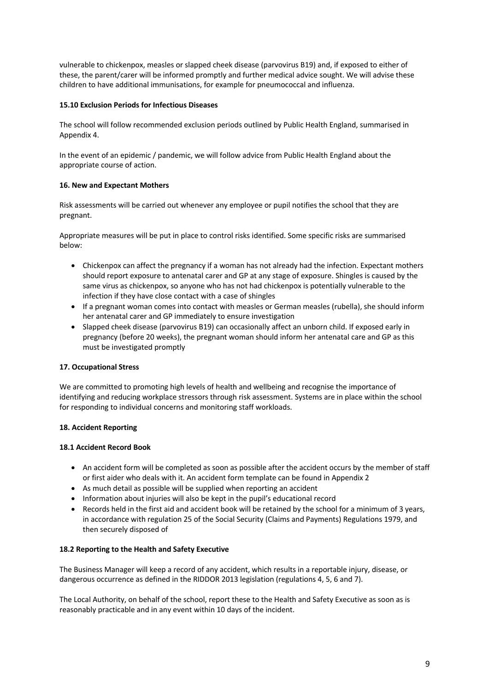vulnerable to chickenpox, measles or slapped cheek disease (parvovirus B19) and, if exposed to either of these, the parent/carer will be informed promptly and further medical advice sought. We will advise these children to have additional immunisations, for example for pneumococcal and influenza.

### **15.10 Exclusion Periods for Infectious Diseases**

The school will follow recommended exclusion periods outlined by Public Health England, summarised in Appendix 4.

In the event of an epidemic / pandemic, we will follow advice from Public Health England about the appropriate course of action.

#### **16. New and Expectant Mothers**

Risk assessments will be carried out whenever any employee or pupil notifies the school that they are pregnant.

Appropriate measures will be put in place to control risks identified. Some specific risks are summarised below:

- Chickenpox can affect the pregnancy if a woman has not already had the infection. Expectant mothers should report exposure to antenatal carer and GP at any stage of exposure. Shingles is caused by the same virus as chickenpox, so anyone who has not had chickenpox is potentially vulnerable to the infection if they have close contact with a case of shingles
- If a pregnant woman comes into contact with measles or German measles (rubella), she should inform her antenatal carer and GP immediately to ensure investigation
- Slapped cheek disease (parvovirus B19) can occasionally affect an unborn child. If exposed early in pregnancy (before 20 weeks), the pregnant woman should inform her antenatal care and GP as this must be investigated promptly

#### **17. Occupational Stress**

We are committed to promoting high levels of health and wellbeing and recognise the importance of identifying and reducing workplace stressors through risk assessment. Systems are in place within the school for responding to individual concerns and monitoring staff workloads.

## **18. Accident Reporting**

#### **18.1 Accident Record Book**

- An accident form will be completed as soon as possible after the accident occurs by the member of staff or first aider who deals with it. An accident form template can be found in Appendix 2
- As much detail as possible will be supplied when reporting an accident
- Information about injuries will also be kept in the pupil's educational record
- Records held in the first aid and accident book will be retained by the school for a minimum of 3 years, in accordance with regulation 25 of the Social Security (Claims and Payments) Regulations 1979, and then securely disposed of

#### **18.2 Reporting to the Health and Safety Executive**

The Business Manager will keep a record of any accident, which results in a reportable injury, disease, or dangerous occurrence as defined in the RIDDOR 2013 legislation (regulations 4, 5, 6 and 7).

The Local Authority, on behalf of the school, report these to the Health and Safety Executive as soon as is reasonably practicable and in any event within 10 days of the incident.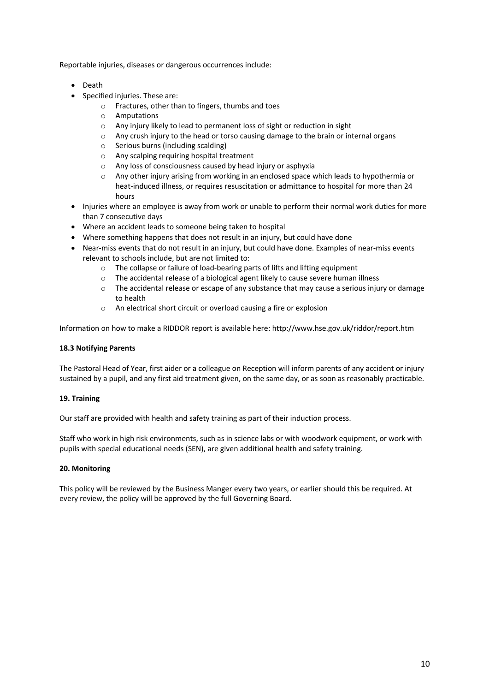Reportable injuries, diseases or dangerous occurrences include:

- Death
- Specified injuries. These are:
	- o Fractures, other than to fingers, thumbs and toes
	- o Amputations
	- o Any injury likely to lead to permanent loss of sight or reduction in sight
	- $\circ$  Any crush injury to the head or torso causing damage to the brain or internal organs
	- o Serious burns (including scalding)
	- o Any scalping requiring hospital treatment
	- o Any loss of consciousness caused by head injury or asphyxia
	- $\circ$  Any other injury arising from working in an enclosed space which leads to hypothermia or heat-induced illness, or requires resuscitation or admittance to hospital for more than 24 hours
- Injuries where an employee is away from work or unable to perform their normal work duties for more than 7 consecutive days
- Where an accident leads to someone being taken to hospital
- Where something happens that does not result in an injury, but could have done
- Near-miss events that do not result in an injury, but could have done. Examples of near-miss events relevant to schools include, but are not limited to:
	- o The collapse or failure of load-bearing parts of lifts and lifting equipment
	- o The accidental release of a biological agent likely to cause severe human illness
	- $\circ$  The accidental release or escape of any substance that may cause a serious injury or damage to health
	- o An electrical short circuit or overload causing a fire or explosion

Information on how to make a RIDDOR report is available here: http://www.hse.gov.uk/riddor/report.htm

## **18.3 Notifying Parents**

The Pastoral Head of Year, first aider or a colleague on Reception will inform parents of any accident or injury sustained by a pupil, and any first aid treatment given, on the same day, or as soon as reasonably practicable.

## **19. Training**

Our staff are provided with health and safety training as part of their induction process.

Staff who work in high risk environments, such as in science labs or with woodwork equipment, or work with pupils with special educational needs (SEN), are given additional health and safety training.

## **20. Monitoring**

This policy will be reviewed by the Business Manger every two years, or earlier should this be required. At every review, the policy will be approved by the full Governing Board.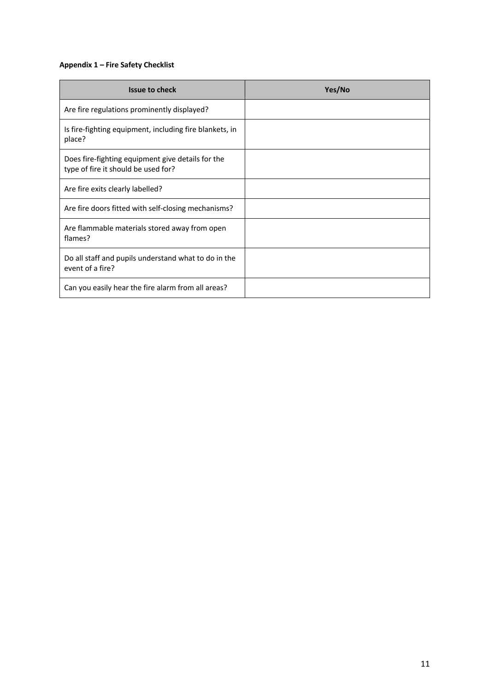# **Appendix 1 – Fire Safety Checklist**

| <b>Issue to check</b>                                                                    | Yes/No |
|------------------------------------------------------------------------------------------|--------|
| Are fire regulations prominently displayed?                                              |        |
| Is fire-fighting equipment, including fire blankets, in<br>place?                        |        |
| Does fire-fighting equipment give details for the<br>type of fire it should be used for? |        |
| Are fire exits clearly labelled?                                                         |        |
| Are fire doors fitted with self-closing mechanisms?                                      |        |
| Are flammable materials stored away from open<br>flames?                                 |        |
| Do all staff and pupils understand what to do in the<br>event of a fire?                 |        |
| Can you easily hear the fire alarm from all areas?                                       |        |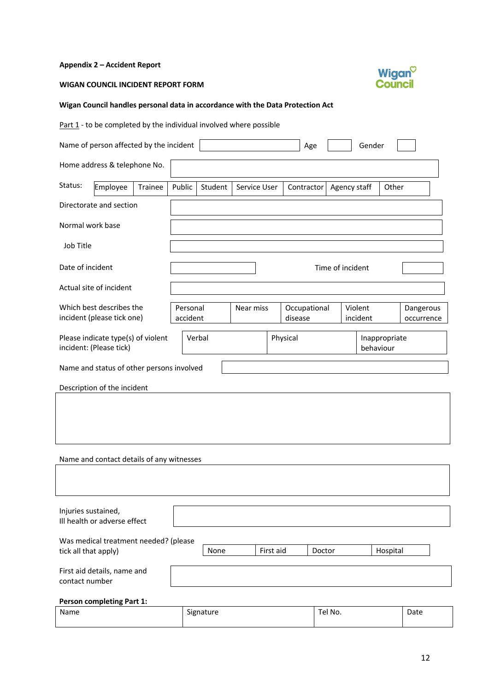## **Appendix 2 – Accident Report**

## **WIGAN COUNCIL INCIDENT REPORT FORM**



# **Wigan Council handles personal data in accordance with the Data Protection Act**

Part  $1$  - to be completed by the individual involved where possible

|                                                               | Name of person affected by the incident                       |         |                      |         |                  |  |                         | Age |              | Gender    |               |                         |
|---------------------------------------------------------------|---------------------------------------------------------------|---------|----------------------|---------|------------------|--|-------------------------|-----|--------------|-----------|---------------|-------------------------|
|                                                               | Home address & telephone No.                                  |         |                      |         |                  |  |                         |     |              |           |               |                         |
| Status:                                                       | Employee                                                      | Trainee | Public               | Student | Service User     |  | Contractor              |     | Agency staff |           | Other         |                         |
|                                                               | Directorate and section                                       |         |                      |         |                  |  |                         |     |              |           |               |                         |
| Normal work base                                              |                                                               |         |                      |         |                  |  |                         |     |              |           |               |                         |
| Job Title                                                     |                                                               |         |                      |         |                  |  |                         |     |              |           |               |                         |
| Date of incident                                              |                                                               |         |                      |         | Time of incident |  |                         |     |              |           |               |                         |
|                                                               | Actual site of incident                                       |         |                      |         |                  |  |                         |     |              |           |               |                         |
|                                                               | Which best describes the<br>incident (please tick one)        |         | Personal<br>accident |         | Near miss        |  | Occupational<br>disease |     | Violent      | incident  |               | Dangerous<br>occurrence |
|                                                               | Please indicate type(s) of violent<br>incident: (Please tick) |         |                      | Verbal  |                  |  | Physical                |     |              | behaviour | Inappropriate |                         |
|                                                               | Name and status of other persons involved                     |         |                      |         |                  |  |                         |     |              |           |               |                         |
|                                                               | Description of the incident                                   |         |                      |         |                  |  |                         |     |              |           |               |                         |
|                                                               |                                                               |         |                      |         |                  |  |                         |     |              |           |               |                         |
|                                                               |                                                               |         |                      |         |                  |  |                         |     |              |           |               |                         |
| Name and contact details of any witnesses                     |                                                               |         |                      |         |                  |  |                         |     |              |           |               |                         |
|                                                               |                                                               |         |                      |         |                  |  |                         |     |              |           |               |                         |
| Injuries sustained,                                           | Ill health or adverse effect                                  |         |                      |         |                  |  |                         |     |              |           |               |                         |
| Was medical treatment needed? (please<br>tick all that apply) |                                                               |         | None                 |         | First aid        |  | Doctor                  |     |              | Hospital  |               |                         |
| contact number                                                | First aid details, name and                                   |         |                      |         |                  |  |                         |     |              |           |               |                         |
|                                                               | <b>Person completing Part 1:</b>                              |         |                      |         |                  |  |                         |     |              |           |               |                         |

| Name | Signature | Tel No. | Date |
|------|-----------|---------|------|
|      |           |         |      |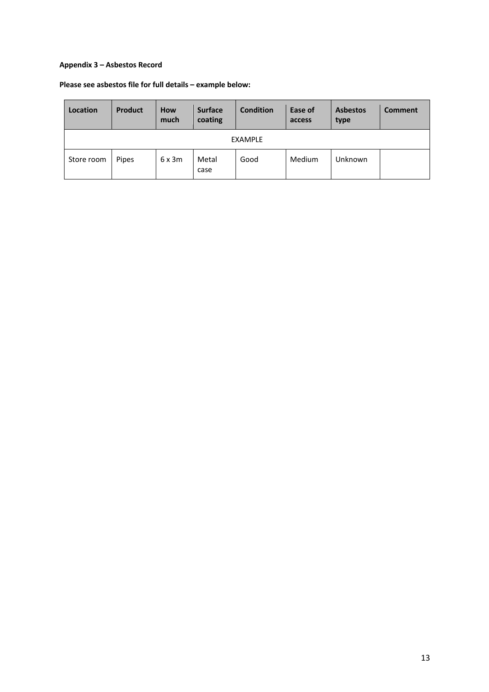## **Appendix 3 – Asbestos Record**

# **Please see asbestos file for full details – example below:**

| Location       | Product | <b>How</b><br>much | <b>Surface</b><br>coating | <b>Condition</b> | Ease of<br>access | <b>Asbestos</b><br>type | <b>Comment</b> |
|----------------|---------|--------------------|---------------------------|------------------|-------------------|-------------------------|----------------|
| <b>EXAMPLE</b> |         |                    |                           |                  |                   |                         |                |
| Store room     | Pipes   | 6x3m               | Metal<br>case             | Good             | Medium            | Unknown                 |                |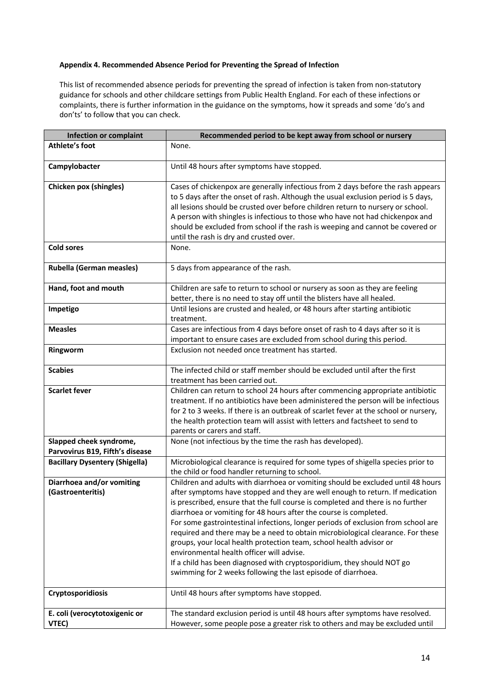#### **Appendix 4. Recommended Absence Period for Preventing the Spread of Infection**

This list of recommended absence periods for preventing the spread of infection is taken from non-statutory guidance for schools and other childcare settings from Public Health England. For each of these infections or complaints, there is further information in the guidance on the symptoms, how it spreads and some 'do's and don'ts' to follow that you can check.

| <b>Infection or complaint</b>                              | Recommended period to be kept away from school or nursery                                                                                                                                                                                                                                                                                                                                                                                                                                                                                                                                                                                                                                                                                                        |
|------------------------------------------------------------|------------------------------------------------------------------------------------------------------------------------------------------------------------------------------------------------------------------------------------------------------------------------------------------------------------------------------------------------------------------------------------------------------------------------------------------------------------------------------------------------------------------------------------------------------------------------------------------------------------------------------------------------------------------------------------------------------------------------------------------------------------------|
| <b>Athlete's foot</b>                                      | None.                                                                                                                                                                                                                                                                                                                                                                                                                                                                                                                                                                                                                                                                                                                                                            |
| Campylobacter                                              | Until 48 hours after symptoms have stopped.                                                                                                                                                                                                                                                                                                                                                                                                                                                                                                                                                                                                                                                                                                                      |
| Chicken pox (shingles)                                     | Cases of chickenpox are generally infectious from 2 days before the rash appears<br>to 5 days after the onset of rash. Although the usual exclusion period is 5 days,<br>all lesions should be crusted over before children return to nursery or school.<br>A person with shingles is infectious to those who have not had chickenpox and<br>should be excluded from school if the rash is weeping and cannot be covered or<br>until the rash is dry and crusted over.                                                                                                                                                                                                                                                                                           |
| <b>Cold sores</b>                                          | None.                                                                                                                                                                                                                                                                                                                                                                                                                                                                                                                                                                                                                                                                                                                                                            |
| Rubella (German measles)                                   | 5 days from appearance of the rash.                                                                                                                                                                                                                                                                                                                                                                                                                                                                                                                                                                                                                                                                                                                              |
| Hand, foot and mouth                                       | Children are safe to return to school or nursery as soon as they are feeling<br>better, there is no need to stay off until the blisters have all healed.                                                                                                                                                                                                                                                                                                                                                                                                                                                                                                                                                                                                         |
| Impetigo                                                   | Until lesions are crusted and healed, or 48 hours after starting antibiotic<br>treatment.                                                                                                                                                                                                                                                                                                                                                                                                                                                                                                                                                                                                                                                                        |
| <b>Measles</b>                                             | Cases are infectious from 4 days before onset of rash to 4 days after so it is<br>important to ensure cases are excluded from school during this period.                                                                                                                                                                                                                                                                                                                                                                                                                                                                                                                                                                                                         |
| Ringworm                                                   | Exclusion not needed once treatment has started.                                                                                                                                                                                                                                                                                                                                                                                                                                                                                                                                                                                                                                                                                                                 |
| <b>Scabies</b>                                             | The infected child or staff member should be excluded until after the first<br>treatment has been carried out.                                                                                                                                                                                                                                                                                                                                                                                                                                                                                                                                                                                                                                                   |
| <b>Scarlet fever</b>                                       | Children can return to school 24 hours after commencing appropriate antibiotic<br>treatment. If no antibiotics have been administered the person will be infectious<br>for 2 to 3 weeks. If there is an outbreak of scarlet fever at the school or nursery,<br>the health protection team will assist with letters and factsheet to send to<br>parents or carers and staff.                                                                                                                                                                                                                                                                                                                                                                                      |
| Slapped cheek syndrome,<br>Parvovirus B19, Fifth's disease | None (not infectious by the time the rash has developed).                                                                                                                                                                                                                                                                                                                                                                                                                                                                                                                                                                                                                                                                                                        |
| <b>Bacillary Dysentery (Shigella)</b>                      | Microbiological clearance is required for some types of shigella species prior to<br>the child or food handler returning to school.                                                                                                                                                                                                                                                                                                                                                                                                                                                                                                                                                                                                                              |
| Diarrhoea and/or vomiting<br>(Gastroenteritis)             | Children and adults with diarrhoea or vomiting should be excluded until 48 hours<br>after symptoms have stopped and they are well enough to return. If medication<br>is prescribed, ensure that the full course is completed and there is no further<br>diarrhoea or vomiting for 48 hours after the course is completed.<br>For some gastrointestinal infections, longer periods of exclusion from school are<br>required and there may be a need to obtain microbiological clearance. For these<br>groups, your local health protection team, school health advisor or<br>environmental health officer will advise.<br>If a child has been diagnosed with cryptosporidium, they should NOT go<br>swimming for 2 weeks following the last episode of diarrhoea. |
| Cryptosporidiosis                                          | Until 48 hours after symptoms have stopped.                                                                                                                                                                                                                                                                                                                                                                                                                                                                                                                                                                                                                                                                                                                      |
| E. coli (verocytotoxigenic or<br>VTEC)                     | The standard exclusion period is until 48 hours after symptoms have resolved.<br>However, some people pose a greater risk to others and may be excluded until                                                                                                                                                                                                                                                                                                                                                                                                                                                                                                                                                                                                    |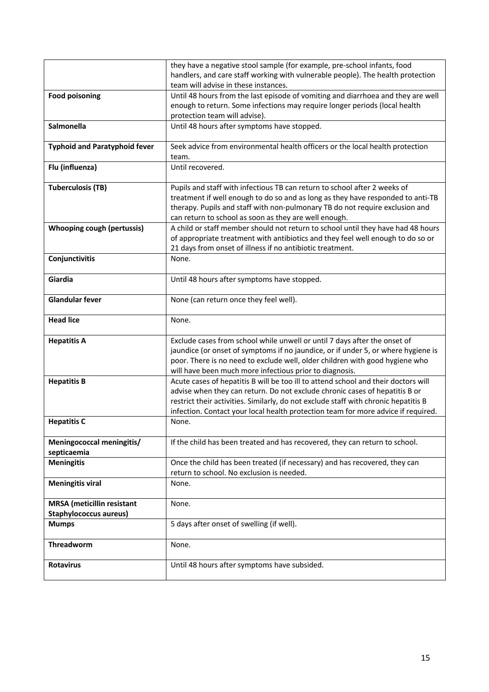|                                      | they have a negative stool sample (for example, pre-school infants, food                                                                                          |
|--------------------------------------|-------------------------------------------------------------------------------------------------------------------------------------------------------------------|
|                                      | handlers, and care staff working with vulnerable people). The health protection<br>team will advise in these instances.                                           |
| <b>Food poisoning</b>                | Until 48 hours from the last episode of vomiting and diarrhoea and they are well                                                                                  |
|                                      | enough to return. Some infections may require longer periods (local health                                                                                        |
|                                      | protection team will advise).                                                                                                                                     |
| Salmonella                           | Until 48 hours after symptoms have stopped.                                                                                                                       |
|                                      |                                                                                                                                                                   |
| <b>Typhoid and Paratyphoid fever</b> | Seek advice from environmental health officers or the local health protection                                                                                     |
|                                      | team.<br>Until recovered.                                                                                                                                         |
| Flu (influenza)                      |                                                                                                                                                                   |
| <b>Tuberculosis (TB)</b>             | Pupils and staff with infectious TB can return to school after 2 weeks of                                                                                         |
|                                      | treatment if well enough to do so and as long as they have responded to anti-TB                                                                                   |
|                                      | therapy. Pupils and staff with non-pulmonary TB do not require exclusion and                                                                                      |
|                                      | can return to school as soon as they are well enough.                                                                                                             |
| <b>Whooping cough (pertussis)</b>    | A child or staff member should not return to school until they have had 48 hours                                                                                  |
|                                      | of appropriate treatment with antibiotics and they feel well enough to do so or<br>21 days from onset of illness if no antibiotic treatment.                      |
| Conjunctivitis                       | None.                                                                                                                                                             |
|                                      |                                                                                                                                                                   |
| Giardia                              | Until 48 hours after symptoms have stopped.                                                                                                                       |
| <b>Glandular fever</b>               | None (can return once they feel well).                                                                                                                            |
| <b>Head lice</b>                     | None.                                                                                                                                                             |
| <b>Hepatitis A</b>                   | Exclude cases from school while unwell or until 7 days after the onset of                                                                                         |
|                                      | jaundice (or onset of symptoms if no jaundice, or if under 5, or where hygiene is                                                                                 |
|                                      | poor. There is no need to exclude well, older children with good hygiene who                                                                                      |
|                                      | will have been much more infectious prior to diagnosis.                                                                                                           |
| <b>Hepatitis B</b>                   | Acute cases of hepatitis B will be too ill to attend school and their doctors will<br>advise when they can return. Do not exclude chronic cases of hepatitis B or |
|                                      | restrict their activities. Similarly, do not exclude staff with chronic hepatitis B                                                                               |
|                                      | infection. Contact your local health protection team for more advice if required.                                                                                 |
| <b>Hepatitis C</b>                   | None.                                                                                                                                                             |
|                                      |                                                                                                                                                                   |
| Meningococcal meningitis/            | If the child has been treated and has recovered, they can return to school.                                                                                       |
| septicaemia<br><b>Meningitis</b>     | Once the child has been treated (if necessary) and has recovered, they can                                                                                        |
|                                      | return to school. No exclusion is needed.                                                                                                                         |
| <b>Meningitis viral</b>              | None.                                                                                                                                                             |
|                                      |                                                                                                                                                                   |
| <b>MRSA</b> (meticillin resistant    | None.                                                                                                                                                             |
| <b>Staphylococcus aureus)</b>        |                                                                                                                                                                   |
| <b>Mumps</b>                         | 5 days after onset of swelling (if well).                                                                                                                         |
| Threadworm                           | None.                                                                                                                                                             |
| <b>Rotavirus</b>                     | Until 48 hours after symptoms have subsided.                                                                                                                      |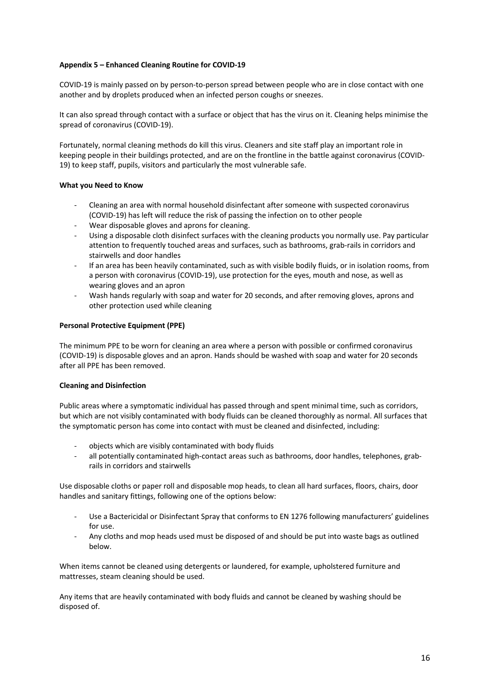#### **Appendix 5 – Enhanced Cleaning Routine for COVID-19**

COVID-19 is mainly passed on by person-to-person spread between people who are in close contact with one another and by droplets produced when an infected person coughs or sneezes.

It can also spread through contact with a surface or object that has the virus on it. Cleaning helps minimise the spread of coronavirus (COVID-19).

Fortunately, normal cleaning methods do kill this virus. Cleaners and site staff play an important role in keeping people in their buildings protected, and are on the frontline in the battle against coronavirus (COVID-19) to keep staff, pupils, visitors and particularly the most vulnerable safe.

#### **What you Need to Know**

- Cleaning an area with normal household disinfectant after someone with suspected coronavirus (COVID-19) has left will reduce the risk of passing the infection on to other people
- Wear disposable gloves and aprons for cleaning.
- Using a disposable cloth disinfect surfaces with the cleaning products you normally use. Pay particular attention to frequently touched areas and surfaces, such as bathrooms, grab-rails in corridors and stairwells and door handles
- If an area has been heavily contaminated, such as with visible bodily fluids, or in isolation rooms, from a person with coronavirus (COVID-19), use protection for the eyes, mouth and nose, as well as wearing gloves and an apron
- Wash hands regularly with soap and water for 20 seconds, and after removing gloves, aprons and other protection used while cleaning

#### **Personal Protective Equipment (PPE)**

The minimum PPE to be worn for cleaning an area where a person with possible or confirmed coronavirus (COVID-19) is disposable gloves and an apron. Hands should be washed with soap and water for 20 seconds after all PPE has been removed.

#### **Cleaning and Disinfection**

Public areas where a symptomatic individual has passed through and spent minimal time, such as corridors, but which are not visibly contaminated with body fluids can be cleaned thoroughly as normal. All surfaces that the symptomatic person has come into contact with must be cleaned and disinfected, including:

- objects which are visibly contaminated with body fluids
- all potentially contaminated high-contact areas such as bathrooms, door handles, telephones, grabrails in corridors and stairwells

Use disposable cloths or paper roll and disposable mop heads, to clean all hard surfaces, floors, chairs, door handles and sanitary fittings, following one of the options below:

- Use a Bactericidal or Disinfectant Spray that conforms to EN 1276 following manufacturers' guidelines for use.
- Any cloths and mop heads used must be disposed of and should be put into waste bags as outlined below.

When items cannot be cleaned using detergents or laundered, for example, upholstered furniture and mattresses, steam cleaning should be used.

Any items that are heavily contaminated with body fluids and cannot be cleaned by washing should be disposed of.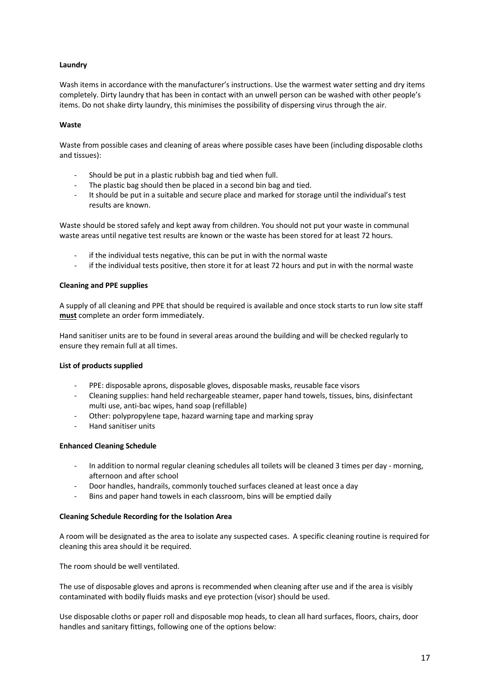#### **Laundry**

Wash items in accordance with the manufacturer's instructions. Use the warmest water setting and dry items completely. Dirty laundry that has been in contact with an unwell person can be washed with other people's items. Do not shake dirty laundry, this minimises the possibility of dispersing virus through the air.

#### **Waste**

Waste from possible cases and cleaning of areas where possible cases have been (including disposable cloths and tissues):

- Should be put in a plastic rubbish bag and tied when full.
- The plastic bag should then be placed in a second bin bag and tied.
- It should be put in a suitable and secure place and marked for storage until the individual's test results are known.

Waste should be stored safely and kept away from children. You should not put your waste in communal waste areas until negative test results are known or the waste has been stored for at least 72 hours.

- if the individual tests negative, this can be put in with the normal waste
- if the individual tests positive, then store it for at least 72 hours and put in with the normal waste

#### **Cleaning and PPE supplies**

A supply of all cleaning and PPE that should be required is available and once stock starts to run low site staff **must** complete an order form immediately.

Hand sanitiser units are to be found in several areas around the building and will be checked regularly to ensure they remain full at all times.

#### **List of products supplied**

- PPE: disposable aprons, disposable gloves, disposable masks, reusable face visors
- Cleaning supplies: hand held rechargeable steamer, paper hand towels, tissues, bins, disinfectant multi use, anti-bac wipes, hand soap (refillable)
- Other: polypropylene tape, hazard warning tape and marking spray
- Hand sanitiser units

#### **Enhanced Cleaning Schedule**

- In addition to normal regular cleaning schedules all toilets will be cleaned 3 times per day morning, afternoon and after school
- Door handles, handrails, commonly touched surfaces cleaned at least once a day
- Bins and paper hand towels in each classroom, bins will be emptied daily

#### **Cleaning Schedule Recording for the Isolation Area**

A room will be designated as the area to isolate any suspected cases. A specific cleaning routine is required for cleaning this area should it be required.

The room should be well ventilated.

The use of disposable gloves and aprons is recommended when cleaning after use and if the area is visibly contaminated with bodily fluids masks and eye protection (visor) should be used.

Use disposable cloths or paper roll and disposable mop heads, to clean all hard surfaces, floors, chairs, door handles and sanitary fittings, following one of the options below: